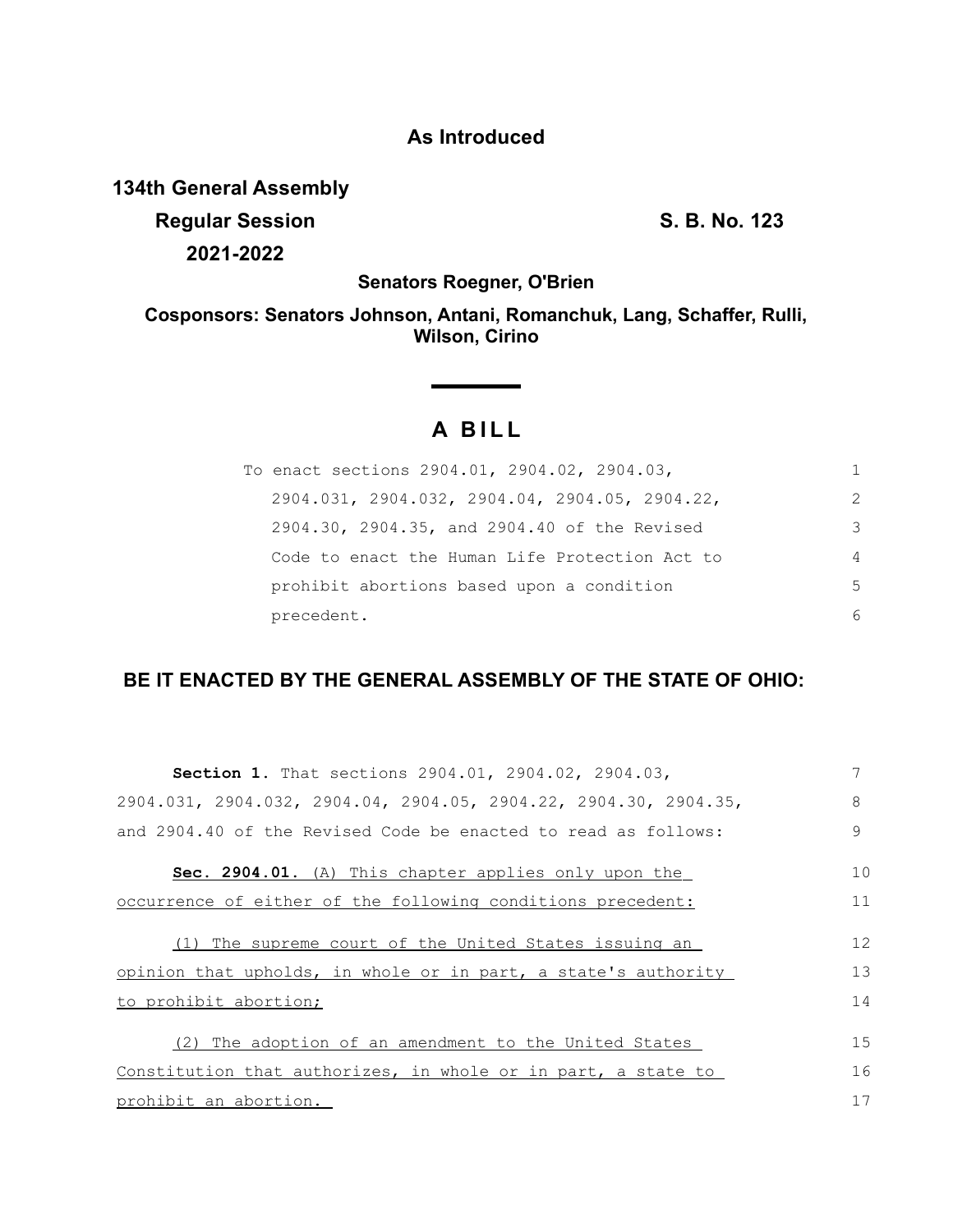## **As Introduced**

## **134th General Assembly**

**Regular Session S. B. No. 123 2021-2022**

**Senators Roegner, O'Brien**

**Cosponsors: Senators Johnson, Antani, Romanchuk, Lang, Schaffer, Rulli, Wilson, Cirino**

## **A BILL**

| To enact sections 2904.01, 2904.02, 2904.03,                |                |
|-------------------------------------------------------------|----------------|
| $2904.031$ , $2904.032$ , $2904.04$ , $2904.05$ , $2904.22$ | 2              |
| 2904.30, 2904.35, and 2904.40 of the Revised                | 3              |
| Code to enact the Human Life Protection Act to              | $\overline{4}$ |
| prohibit abortions based upon a condition                   | 5              |
| precedent.                                                  | 6              |

## **BE IT ENACTED BY THE GENERAL ASSEMBLY OF THE STATE OF OHIO:**

| Section 1. That sections 2904.01, 2904.02, 2904.03,              | 7  |
|------------------------------------------------------------------|----|
| 2904.031, 2904.032, 2904.04, 2904.05, 2904.22, 2904.30, 2904.35, | 8  |
| and 2904.40 of the Revised Code be enacted to read as follows:   | 9  |
| Sec. 2904.01. (A) This chapter applies only upon the             | 10 |
| occurrence of either of the following conditions precedent:      | 11 |
| (1) The supreme court of the United States issuing an            | 12 |
| opinion that upholds, in whole or in part, a state's authority   | 13 |
| to prohibit abortion;                                            | 14 |
| The adoption of an amendment to the United States<br>(2)         | 15 |
| Constitution that authorizes, in whole or in part, a state to    | 16 |
| prohibit an abortion.                                            | 17 |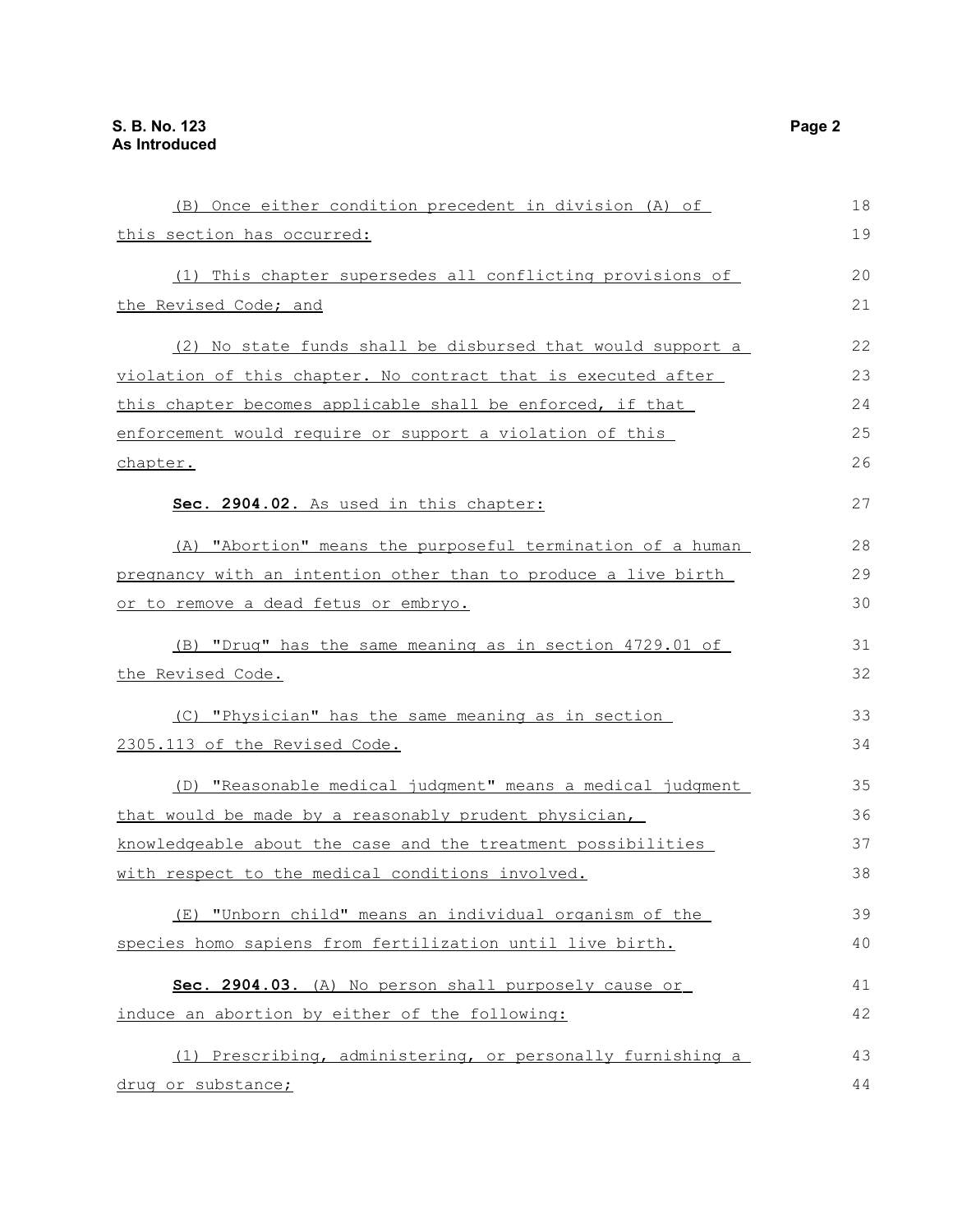| (B) Once either condition precedent in division (A) of         | 18 |
|----------------------------------------------------------------|----|
| this section has occurred:                                     | 19 |
| (1) This chapter supersedes all conflicting provisions of      | 20 |
| the Revised Code; and                                          | 21 |
| (2) No state funds shall be disbursed that would support a     | 22 |
| violation of this chapter. No contract that is executed after  | 23 |
| this chapter becomes applicable shall be enforced, if that     | 24 |
| enforcement would require or support a violation of this       | 25 |
| chapter.                                                       | 26 |
| Sec. 2904.02. As used in this chapter:                         | 27 |
| (A) "Abortion" means the purposeful termination of a human     | 28 |
| pregnancy with an intention other than to produce a live birth | 29 |
| or to remove a dead fetus or embryo.                           | 30 |
| (B) "Drug" has the same meaning as in section 4729.01 of       | 31 |
| the Revised Code.                                              | 32 |
| (C) "Physician" has the same meaning as in section             | 33 |
| 2305.113 of the Revised Code.                                  | 34 |
| (D) "Reasonable medical judgment" means a medical judgment     | 35 |
| that would be made by a reasonably prudent physician,          | 36 |
| knowledgeable about the case and the treatment possibilities   | 37 |
| with respect to the medical conditions involved.               | 38 |
| (E) "Unborn child" means an individual organism of the         | 39 |
| species homo sapiens from fertilization until live birth.      | 40 |
| Sec. 2904.03. (A) No person shall purposely cause or           | 41 |
| induce an abortion by either of the following:                 | 42 |
| (1) Prescribing, administering, or personally furnishing a     | 43 |
| drug or substance;                                             | 44 |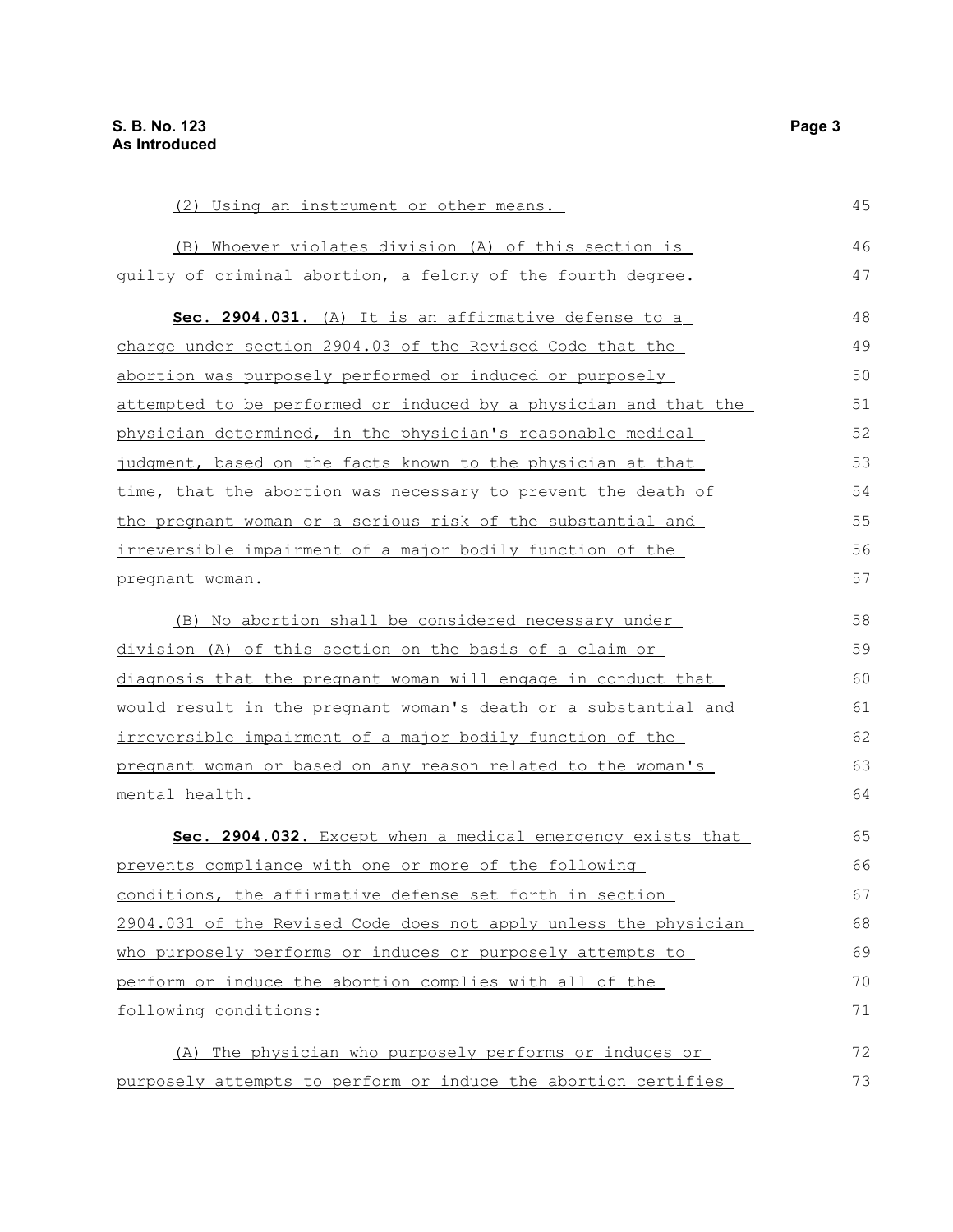| <u>(2) Using an instrument or other means.</u>                   | 45 |
|------------------------------------------------------------------|----|
| (B) Whoever violates division (A) of this section is             | 46 |
| guilty of criminal abortion, a felony of the fourth degree.      | 47 |
| Sec. 2904.031. (A) It is an affirmative defense to a             | 48 |
| charge under section 2904.03 of the Revised Code that the        | 49 |
| abortion was purposely performed or induced or purposely         | 50 |
| attempted to be performed or induced by a physician and that the | 51 |
| physician determined, in the physician's reasonable medical      | 52 |
| judgment, based on the facts known to the physician at that      | 53 |
| time, that the abortion was necessary to prevent the death of    | 54 |
| the pregnant woman or a serious risk of the substantial and      | 55 |
| irreversible impairment of a major bodily function of the        | 56 |
| pregnant woman.                                                  | 57 |
| (B) No abortion shall be considered necessary under              | 58 |
| division (A) of this section on the basis of a claim or          | 59 |
| diagnosis that the pregnant woman will engage in conduct that    | 60 |
| would result in the pregnant woman's death or a substantial and  | 61 |
| irreversible impairment of a major bodily function of the        | 62 |
| pregnant woman or based on any reason related to the woman's     | 63 |
| mental health.                                                   | 64 |
| Sec. 2904.032. Except when a medical emergency exists that       | 65 |
| prevents compliance with one or more of the following            | 66 |
| conditions, the affirmative defense set forth in section         | 67 |
| 2904.031 of the Revised Code does not apply unless the physician | 68 |
| who purposely performs or induces or purposely attempts to       | 69 |
| perform or induce the abortion complies with all of the          | 70 |
| following conditions:                                            | 71 |
| (A) The physician who purposely performs or induces or           | 72 |
| purposely attempts to perform or induce the abortion certifies   | 73 |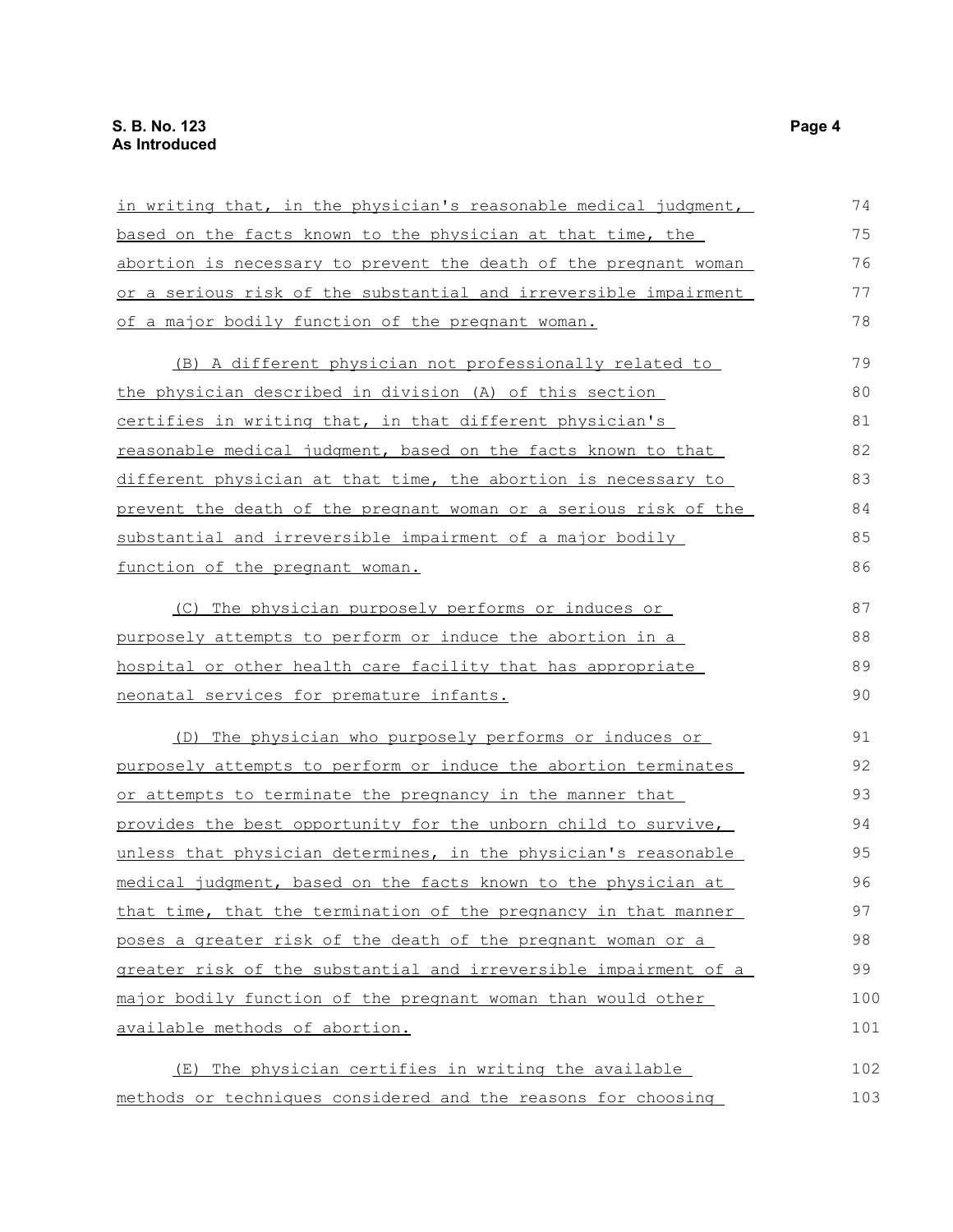| in writing that, in the physician's reasonable medical judgment, | 74  |
|------------------------------------------------------------------|-----|
| based on the facts known to the physician at that time, the      | 75  |
| abortion is necessary to prevent the death of the pregnant woman | 76  |
| or a serious risk of the substantial and irreversible impairment | 77  |
| of a major bodily function of the pregnant woman.                | 78  |
| (B) A different physician not professionally related to          | 79  |
| the physician described in division (A) of this section          | 80  |
| certifies in writing that, in that different physician's         | 81  |
| reasonable medical judgment, based on the facts known to that    | 82  |
| different physician at that time, the abortion is necessary to   | 83  |
| prevent the death of the pregnant woman or a serious risk of the | 84  |
| substantial and irreversible impairment of a major bodily        | 85  |
| <u>function</u> of the pregnant woman.                           | 86  |
| (C) The physician purposely performs or induces or               | 87  |
| purposely attempts to perform or induce the abortion in a        | 88  |
| hospital or other health care facility that has appropriate      | 89  |
| neonatal services for premature infants.                         | 90  |
| (D) The physician who purposely performs or induces or           | 91  |
| purposely attempts to perform or induce the abortion terminates  | 92  |
| or attempts to terminate the pregnancy in the manner that        | 93  |
| provides the best opportunity for the unborn child to survive,   | 94  |
| unless that physician determines, in the physician's reasonable  | 95  |
| medical judgment, based on the facts known to the physician at   | 96  |
| that time, that the termination of the pregnancy in that manner  | 97  |
| poses a greater risk of the death of the pregnant woman or a     | 98  |
| greater risk of the substantial and irreversible impairment of a | 99  |
| major bodily function of the pregnant woman than would other     | 100 |
| available methods of abortion.                                   | 101 |
| (E) The physician certifies in writing the available             | 102 |
| methods or techniques considered and the reasons for choosing    | 103 |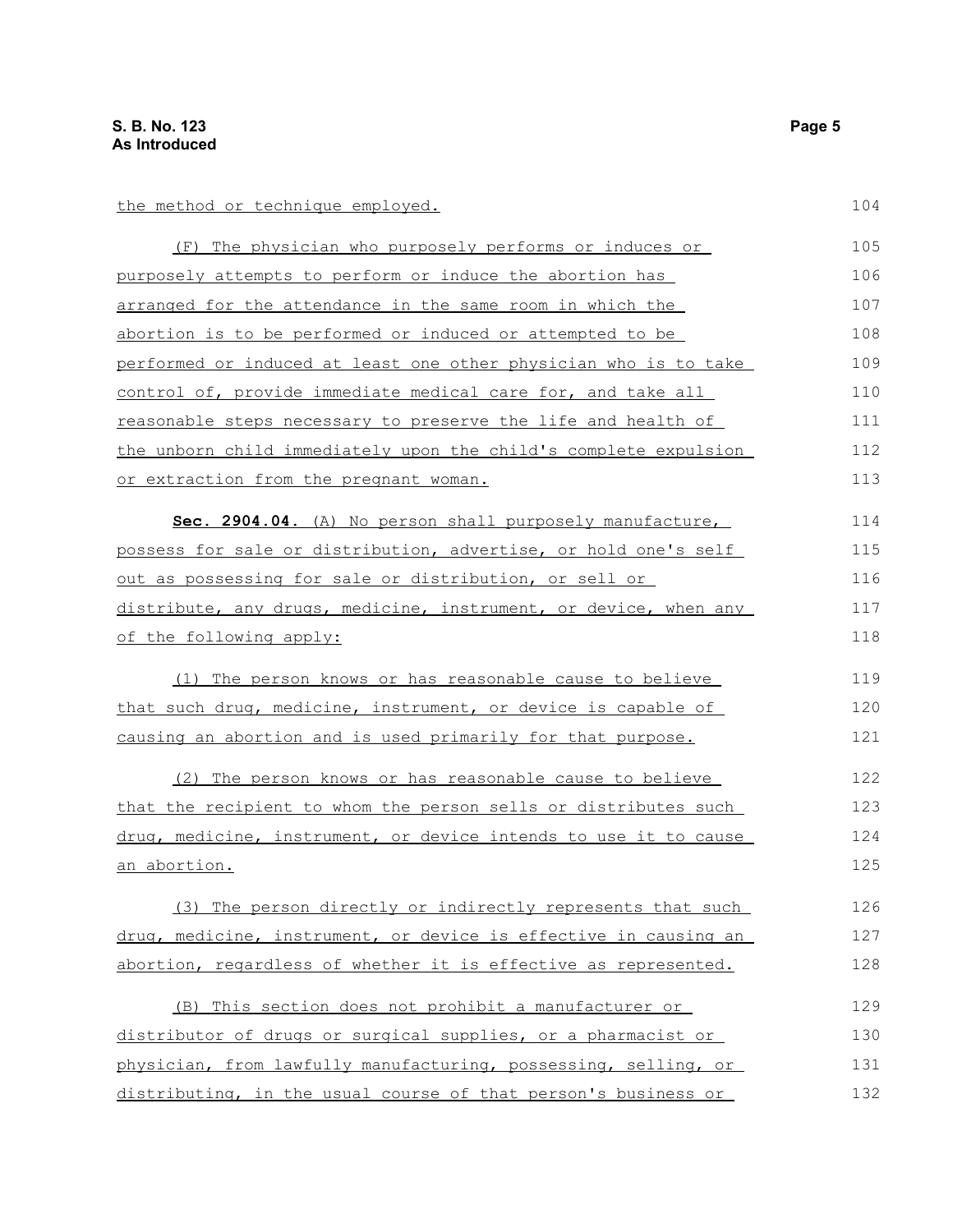the method or technique employed.

| (F) The physician who purposely performs or induces or           | 105 |
|------------------------------------------------------------------|-----|
| purposely attempts to perform or induce the abortion has         | 106 |
| arranged for the attendance in the same room in which the        | 107 |
| abortion is to be performed or induced or attempted to be        | 108 |
| performed or induced at least one other physician who is to take | 109 |
| control of, provide immediate medical care for, and take all     | 110 |
| reasonable steps necessary to preserve the life and health of    | 111 |
| the unborn child immediately upon the child's complete expulsion | 112 |
| or extraction from the pregnant woman.                           | 113 |

 **Sec. 2904.04.** (A) No person shall purposely manufacture, possess for sale or distribution, advertise, or hold one's self out as possessing for sale or distribution, or sell or distribute, any drugs, medicine, instrument, or device, when any of the following apply: 114 115 116 117 118

(1) The person knows or has reasonable cause to believe that such drug, medicine, instrument, or device is capable of causing an abortion and is used primarily for that purpose. 119 120 121

(2) The person knows or has reasonable cause to believe that the recipient to whom the person sells or distributes such drug, medicine, instrument, or device intends to use it to cause an abortion. 122 123 124 125

(3) The person directly or indirectly represents that such drug, medicine, instrument, or device is effective in causing an abortion, regardless of whether it is effective as represented.

(B) This section does not prohibit a manufacturer or distributor of drugs or surgical supplies, or a pharmacist or physician, from lawfully manufacturing, possessing, selling, or distributing, in the usual course of that person's business or 129 130 131 132

104

126 127 128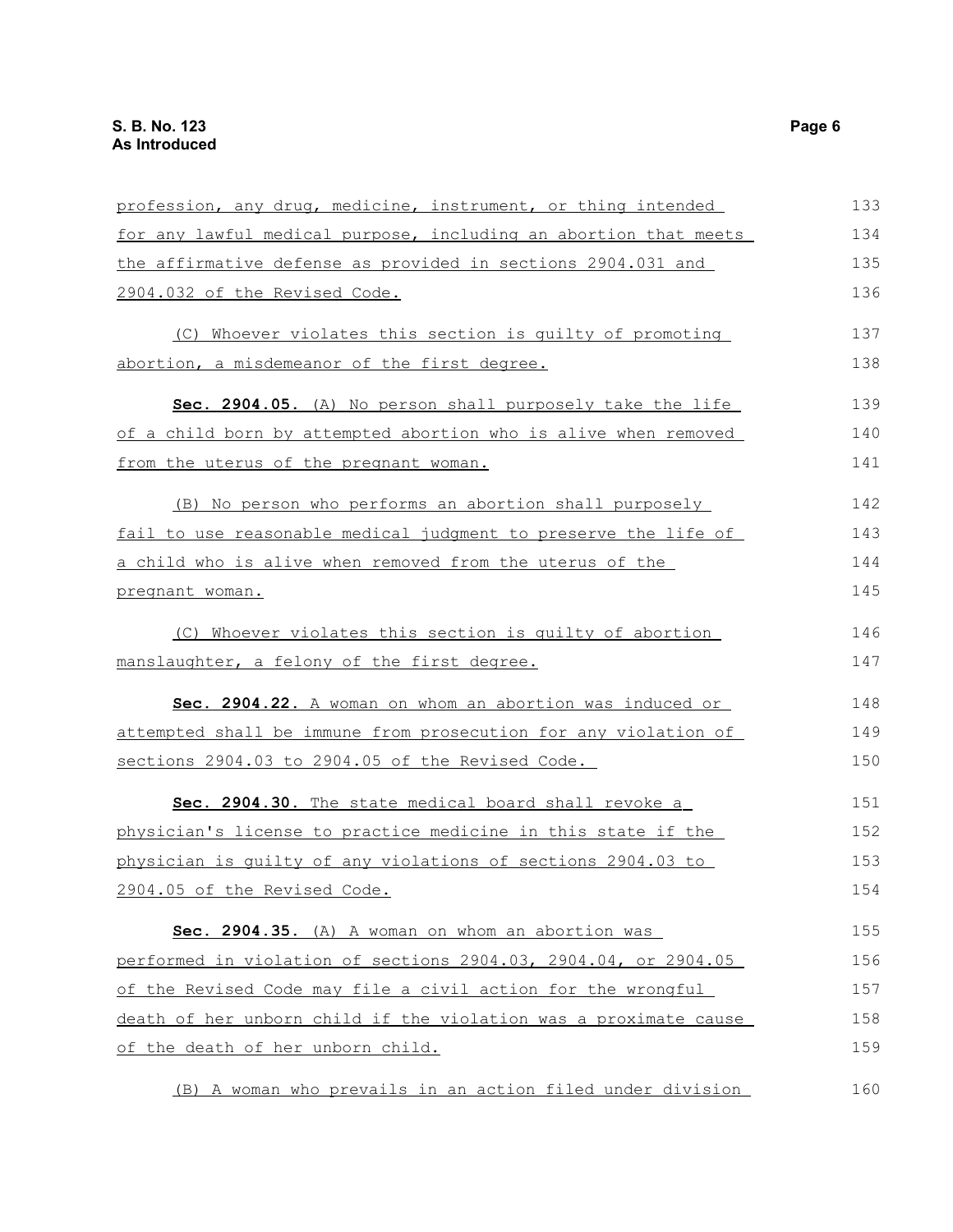| profession, any drug, medicine, instrument, or thing intended    | 133 |
|------------------------------------------------------------------|-----|
| for any lawful medical purpose, including an abortion that meets | 134 |
| the affirmative defense as provided in sections 2904.031 and     | 135 |
| 2904.032 of the Revised Code.                                    | 136 |
| (C) Whoever violates this section is quilty of promoting         | 137 |
| abortion, a misdemeanor of the first degree.                     | 138 |
| Sec. 2904.05. (A) No person shall purposely take the life        | 139 |
| of a child born by attempted abortion who is alive when removed  | 140 |
| from the uterus of the pregnant woman.                           | 141 |
| (B) No person who performs an abortion shall purposely           | 142 |
| fail to use reasonable medical judgment to preserve the life of  | 143 |
| a child who is alive when removed from the uterus of the         | 144 |
| pregnant woman.                                                  | 145 |
| (C) Whoever violates this section is quilty of abortion          | 146 |
| manslaughter, a felony of the first degree.                      | 147 |
| Sec. 2904.22. A woman on whom an abortion was induced or         | 148 |
| attempted shall be immune from prosecution for any violation of  | 149 |
| sections 2904.03 to 2904.05 of the Revised Code.                 | 150 |
| Sec. 2904.30. The state medical board shall revoke a             | 151 |
| physician's license to practice medicine in this state if the    | 152 |
| physician is quilty of any violations of sections 2904.03 to     | 153 |
| 2904.05 of the Revised Code.                                     | 154 |
| Sec. 2904.35. (A) A woman on whom an abortion was                | 155 |
| performed in violation of sections 2904.03, 2904.04, or 2904.05  | 156 |
| of the Revised Code may file a civil action for the wrongful     | 157 |
| death of her unborn child if the violation was a proximate cause | 158 |
| of the death of her unborn child.                                | 159 |
| (B) A woman who prevails in an action filed under division       | 160 |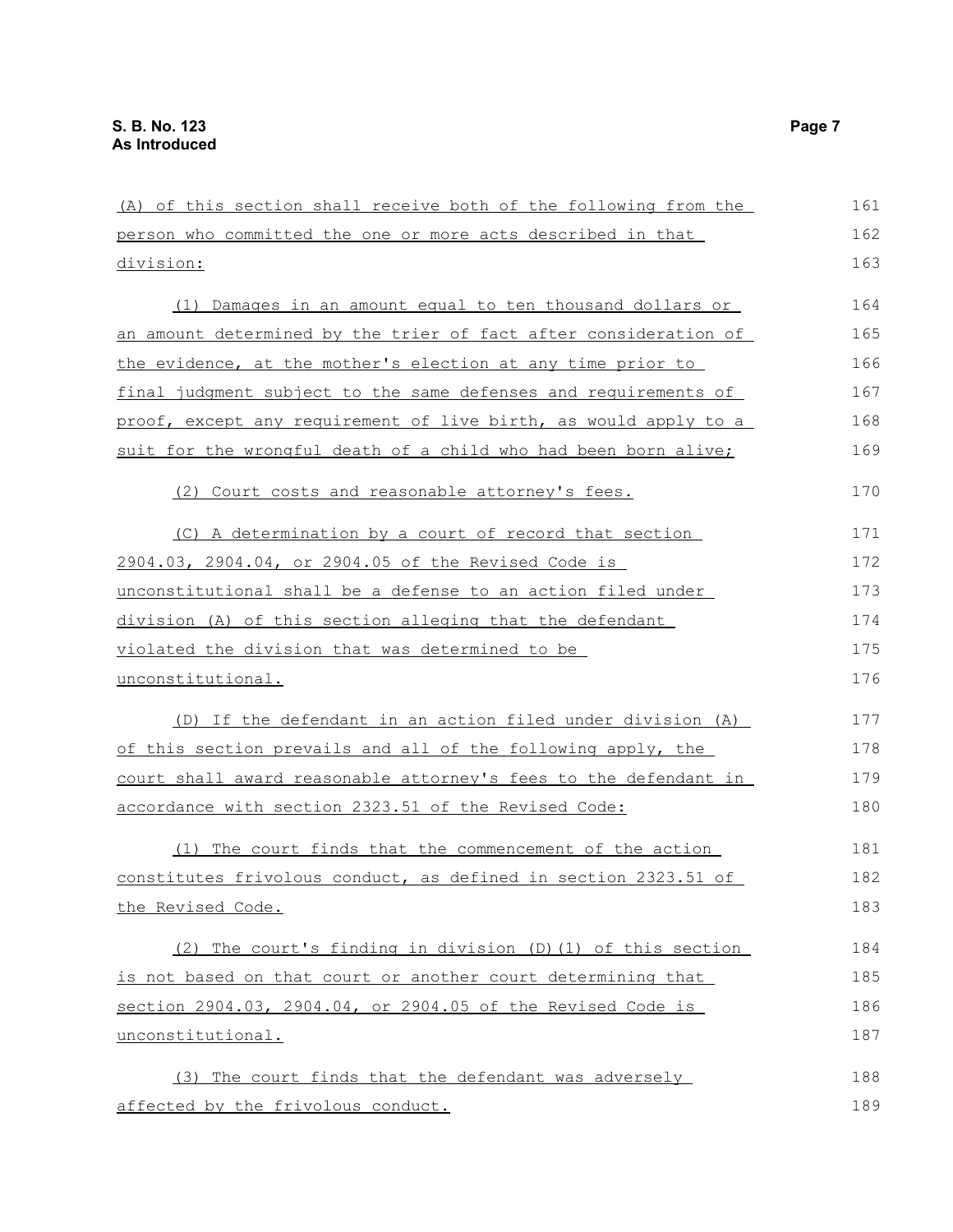| (A) of this section shall receive both of the following from the | 161 |
|------------------------------------------------------------------|-----|
| person who committed the one or more acts described in that      | 162 |
| division:                                                        | 163 |
| (1) Damages in an amount equal to ten thousand dollars or        | 164 |
| an amount determined by the trier of fact after consideration of | 165 |
| the evidence, at the mother's election at any time prior to      | 166 |
| final judgment subject to the same defenses and requirements of  | 167 |
| proof, except any requirement of live birth, as would apply to a | 168 |
| suit for the wrongful death of a child who had been born alive;  | 169 |
| (2) Court costs and reasonable attorney's fees.                  | 170 |
| (C) A determination by a court of record that section            | 171 |
| 2904.03, 2904.04, or 2904.05 of the Revised Code is              | 172 |
| unconstitutional shall be a defense to an action filed under     | 173 |
| division (A) of this section alleging that the defendant         | 174 |
| violated the division that was determined to be                  | 175 |
| unconstitutional.                                                | 176 |
| (D) If the defendant in an action filed under division (A)       | 177 |
| of this section prevails and all of the following apply, the     | 178 |
| court shall award reasonable attorney's fees to the defendant in | 179 |
| accordance with section 2323.51 of the Revised Code:             | 180 |
| (1) The court finds that the commencement of the action          | 181 |
| constitutes frivolous conduct, as defined in section 2323.51 of  | 182 |
| the Revised Code.                                                | 183 |
| (2) The court's finding in division $(D)$ (1) of this section    | 184 |
| is not based on that court or another court determining that     | 185 |
| section 2904.03, 2904.04, or 2904.05 of the Revised Code is      | 186 |
| unconstitutional.                                                | 187 |
| (3) The court finds that the defendant was adversely             | 188 |
| affected by the frivolous conduct.                               | 189 |